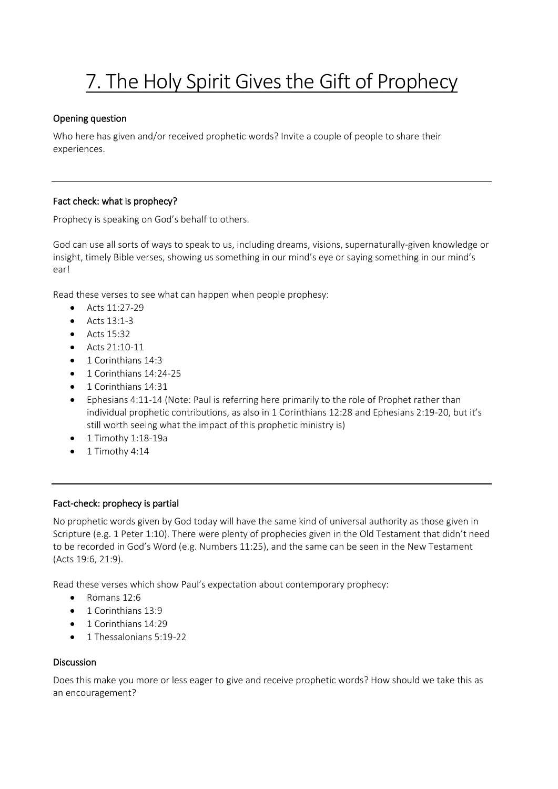# 7. The Holy Spirit Gives the Gift of Prophecy

# Opening question

Who here has given and/or received prophetic words? Invite a couple of people to share their experiences.

# Fact check: what is prophecy?

Prophecy is speaking on God's behalf to others.

God can use all sorts of ways to speak to us, including dreams, visions, supernaturally-given knowledge or insight, timely Bible verses, showing us something in our mind's eye or saying something in our mind's ear!

Read these verses to see what can happen when people prophesy:

- Acts 11:27-29
- Acts 13:1-3
- Acts 15:32
- Acts 21:10-11
- 1 Corinthians 14:3
- 1 Corinthians 14:24-25
- 1 Corinthians 14:31
- Ephesians 4:11-14 (Note: Paul is referring here primarily to the role of Prophet rather than individual prophetic contributions, as also in 1 Corinthians 12:28 and Ephesians 2:19-20, but it's still worth seeing what the impact of this prophetic ministry is)
- 1 Timothy 1:18-19a
- 1 Timothy 4:14

## Fact-check: prophecy is partial

No prophetic words given by God today will have the same kind of universal authority as those given in Scripture (e.g. 1 Peter 1:10). There were plenty of prophecies given in the Old Testament that didn't need to be recorded in God's Word (e.g. Numbers 11:25), and the same can be seen in the New Testament (Acts 19:6, 21:9).

Read these verses which show Paul's expectation about contemporary prophecy:

- Romans 12:6
- 1 Corinthians 13:9
- 1 Corinthians 14:29
- 1 Thessalonians 5:19-22

## Discussion

Does this make you more or less eager to give and receive prophetic words? How should we take this as an encouragement?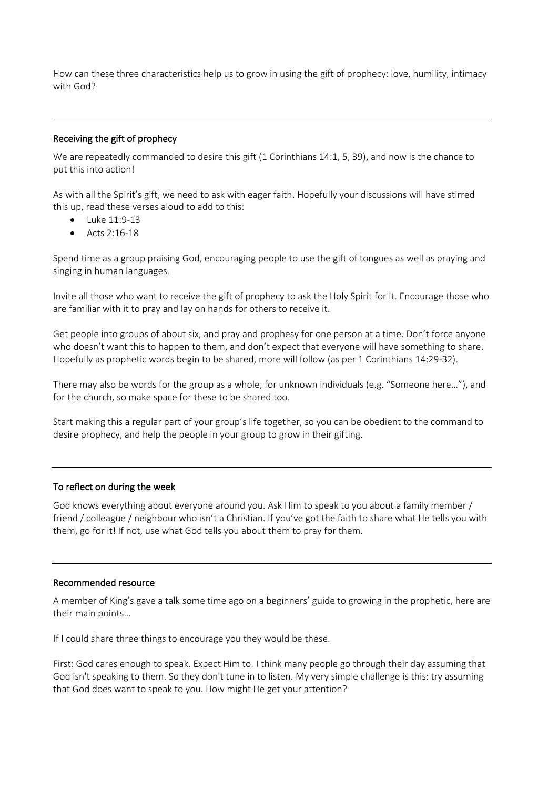How can these three characteristics help us to grow in using the gift of prophecy: love, humility, intimacy with God?

#### Receiving the gift of prophecy

We are repeatedly commanded to desire this gift (1 Corinthians 14:1, 5, 39), and now is the chance to put this into action!

As with all the Spirit's gift, we need to ask with eager faith. Hopefully your discussions will have stirred this up, read these verses aloud to add to this:

- Luke 11:9-13
- Acts 2:16-18

Spend time as a group praising God, encouraging people to use the gift of tongues as well as praying and singing in human languages.

Invite all those who want to receive the gift of prophecy to ask the Holy Spirit for it. Encourage those who are familiar with it to pray and lay on hands for others to receive it.

Get people into groups of about six, and pray and prophesy for one person at a time. Don't force anyone who doesn't want this to happen to them, and don't expect that everyone will have something to share. Hopefully as prophetic words begin to be shared, more will follow (as per 1 Corinthians 14:29-32).

There may also be words for the group as a whole, for unknown individuals (e.g. "Someone here…"), and for the church, so make space for these to be shared too.

Start making this a regular part of your group's life together, so you can be obedient to the command to desire prophecy, and help the people in your group to grow in their gifting.

#### To reflect on during the week

God knows everything about everyone around you. Ask Him to speak to you about a family member / friend / colleague / neighbour who isn't a Christian. If you've got the faith to share what He tells you with them, go for it! If not, use what God tells you about them to pray for them.

#### Recommended resource

A member of King's gave a talk some time ago on a beginners' guide to growing in the prophetic, here are their main points…

If I could share three things to encourage you they would be these.

First: God cares enough to speak. Expect Him to. I think many people go through their day assuming that God isn't speaking to them. So they don't tune in to listen. My very simple challenge is this: try assuming that God does want to speak to you. How might He get your attention?